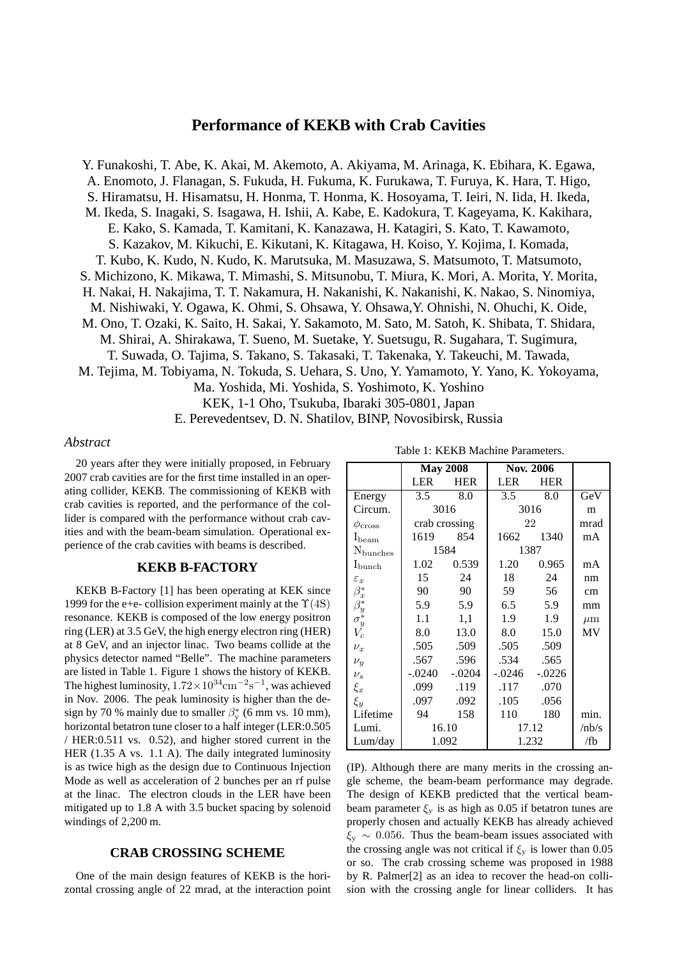# **Performance of KEKB with Crab Cavities**

Y. Funakoshi, T. Abe, K. Akai, M. Akemoto, A. Akiyama, M. Arinaga, K. Ebihara, K. Egawa, A. Enomoto, J. Flanagan, S. Fukuda, H. Fukuma, K. Furukawa, T. Furuya, K. Hara, T. Higo, S. Hiramatsu, H. Hisamatsu, H. Honma, T. Honma, K. Hosoyama, T. Ieiri, N. Iida, H. Ikeda, M. Ikeda, S. Inagaki, S. Isagawa, H. Ishii, A. Kabe, E. Kadokura, T. Kageyama, K. Kakihara, E. Kako, S. Kamada, T. Kamitani, K. Kanazawa, H. Katagiri, S. Kato, T. Kawamoto, S. Kazakov, M. Kikuchi, E. Kikutani, K. Kitagawa, H. Koiso, Y. Kojima, I. Komada, T. Kubo, K. Kudo, N. Kudo, K. Marutsuka, M. Masuzawa, S. Matsumoto, T. Matsumoto, S. Michizono, K. Mikawa, T. Mimashi, S. Mitsunobu, T. Miura, K. Mori, A. Morita, Y. Morita, H. Nakai, H. Nakajima, T. T. Nakamura, H. Nakanishi, K. Nakanishi, K. Nakao, S. Ninomiya, M. Nishiwaki, Y. Ogawa, K. Ohmi, S. Ohsawa, Y. Ohsawa,Y. Ohnishi, N. Ohuchi, K. Oide, M. Ono, T. Ozaki, K. Saito, H. Sakai, Y. Sakamoto, M. Sato, M. Satoh, K. Shibata, T. Shidara, M. Shirai, A. Shirakawa, T. Sueno, M. Suetake, Y. Suetsugu, R. Sugahara, T. Sugimura, T. Suwada, O. Tajima, S. Takano, S. Takasaki, T. Takenaka, Y. Takeuchi, M. Tawada, M. Tejima, M. Tobiyama, N. Tokuda, S. Uehara, S. Uno, Y. Yamamoto, Y. Yano, K. Yokoyama, Ma. Yoshida, Mi. Yoshida, S. Yoshimoto, K. Yoshino KEK, 1-1 Oho, Tsukuba, Ibaraki 305-0801, Japan E. Perevedentsev, D. N. Shatilov, BINP, Novosibirsk, Russia

### *Abstract*

20 years after they were initially proposed, in February 2007 crab cavities are for the first time installed in an operating collider, KEKB. The commissioning of KEKB with crab cavities is reported, and the performance of the collider is compared with the performance without crab cavities and with the beam-beam simulation. Operational experience of the crab cavities with beams is described.

#### **KEKB B-FACTORY**

KEKB B-Factory [1] has been operating at KEK since 1999 for the e+e- collision experiment mainly at the  $\Upsilon(4S)$ resonance. KEKB is composed of the low energy positron ring (LER) at 3.5 GeV, the high energy electron ring (HER) at 8 GeV, and an injector linac. Two beams collide at the physics detector named "Belle". The machine parameters are listed in Table 1. Figure 1 shows the history of KEKB. The highest luminosity,  $1.72 \times 10^{34}$  cm<sup>-2</sup>s<sup>-1</sup>, was achieved in Nov. 2006. The peak luminosity is higher than the design by 70 % mainly due to smaller  $\beta_{y}^{*}$  (6 mm vs. 10 mm), horizontal betatron tune closer to a half integer (LER:0.505 / HER:0.511 vs. 0.52), and higher stored current in the HER (1.35 A vs. 1.1 A). The daily integrated luminosity is as twice high as the design due to Continuous Injection Mode as well as acceleration of 2 bunches per an rf pulse at the linac. The electron clouds in the LER have been mitigated up to 1.8 A with 3.5 bucket spacing by solenoid windings of 2,200 m.

### **CRAB CROSSING SCHEME**

One of the main design features of KEKB is the horizontal crossing angle of 22 mrad, at the interaction point

|                              | <b>Nov. 2006</b><br><b>May 2008</b> |               |            |            |         |
|------------------------------|-------------------------------------|---------------|------------|------------|---------|
|                              | <b>LER</b>                          | <b>HER</b>    | <b>LER</b> | <b>HER</b> |         |
| Energy                       | 3.5                                 | 8.0           | 3.5        | 8.0        | GeV     |
| Circum.                      | 3016                                |               | 3016       |            | m       |
| $\phi_{\rm cross}$           |                                     | crab crossing |            | 22         | mrad    |
| $I_{\text{beam}}$            | 1619                                | 854           | 1662       | 1340       | mA      |
| Nbunches                     | 1584                                |               | 1387       |            |         |
| $_{\rm bunch}$               | 1.02                                | 0.539         | 1.20       | 0.965      | mA      |
| $\varepsilon_x$              | 15                                  | 24            | 18         | 24         | nm      |
| $\beta_x^*$                  | 90                                  | 90            | 59         | 56         | cm      |
| $\beta^*_{y} \ \sigma^*_{y}$ | 5.9                                 | 5.9           | 6.5        | 5.9        | mm      |
|                              | 1.1                                 | 1,1           | 1.9        | 1.9        | $\mu$ m |
| $V_c$                        | 8.0                                 | 13.0          | 8.0        | 15.0       | MV      |
| $\nu_x$                      | .505                                | .509          | .505       | .509       |         |
| $\nu_y$                      | .567                                | .596          | .534       | .565       |         |
| $\nu_s$                      | $-.0240$                            | $-.0204$      | $-.0246$   | $-.0226$   |         |
| $\xi_x$                      | .099                                | .119          | .117       | .070       |         |
| $\xi_y$                      | .097                                | .092          | .105       | .056       |         |
| Lifetime                     | 94                                  | 158           | 110        | 180        | min.    |
| Lumi.                        | 16.10                               |               | 17.12      |            | /nb/s   |
| Lum/day                      |                                     | 1.092         | 1.232      |            | /fb     |

(IP). Although there are many merits in the crossing angle scheme, the beam-beam performance may degrade. The design of KEKB predicted that the vertical beambeam parameter  $\xi_y$  is as high as 0.05 if betatron tunes are properly chosen and actually KEKB has already achieved  $\xi_v \sim 0.056$ . Thus the beam-beam issues associated with the crossing angle was not critical if  $\xi_y$  is lower than 0.05 or so. The crab crossing scheme was proposed in 1988 by R. Palmer[2] as an idea to recover the head-on collision with the crossing angle for linear colliders. It has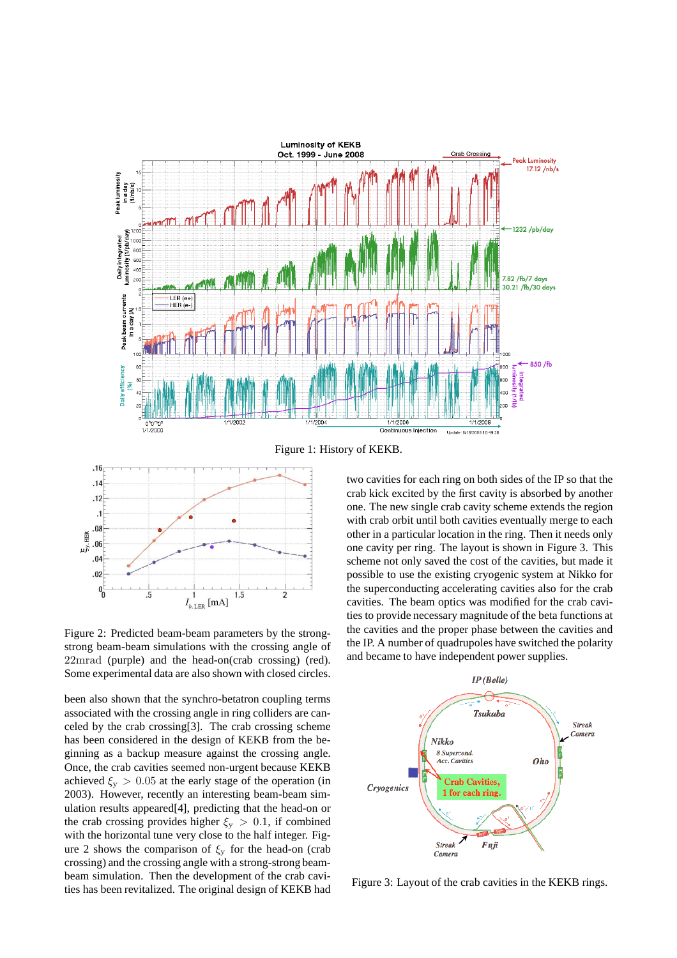



Figure 2: Predicted beam-beam parameters by the strongstrong beam-beam simulations with the crossing angle of 22mrad (purple) and the head-on(crab crossing) (red). Some experimental data are also shown with closed circles.

been also shown that the synchro-betatron coupling terms associated with the crossing angle in ring colliders are canceled by the crab crossing[3]. The crab crossing scheme has been considered in the design of KEKB from the beginning as a backup measure against the crossing angle. Once, the crab cavities seemed non-urgent because KEKB achieved  $\xi_{\rm v} > 0.05$  at the early stage of the operation (in 2003). However, recently an interesting beam-beam simulation results appeared[4], predicting that the head-on or the crab crossing provides higher  $\xi_y > 0.1$ , if combined with the horizontal tune very close to the half integer. Figure 2 shows the comparison of  $\xi_y$  for the head-on (crab crossing) and the crossing angle with a strong-strong beambeam simulation. Then the development of the crab cavities has been revitalized. The original design of KEKB had

two cavities for each ring on both sides of the IP so that the crab kick excited by the first cavity is absorbed by another one. The new single crab cavity scheme extends the region with crab orbit until both cavities eventually merge to each other in a particular location in the ring. Then it needs only one cavity per ring. The layout is shown in Figure 3. This scheme not only saved the cost of the cavities, but made it possible to use the existing cryogenic system at Nikko for the superconducting accelerating cavities also for the crab cavities. The beam optics was modified for the crab cavities to provide necessary magnitude of the beta functions at the cavities and the proper phase between the cavities and the IP. A number of quadrupoles have switched the polarity and became to have independent power supplies.



Figure 3: Layout of the crab cavities in the KEKB rings.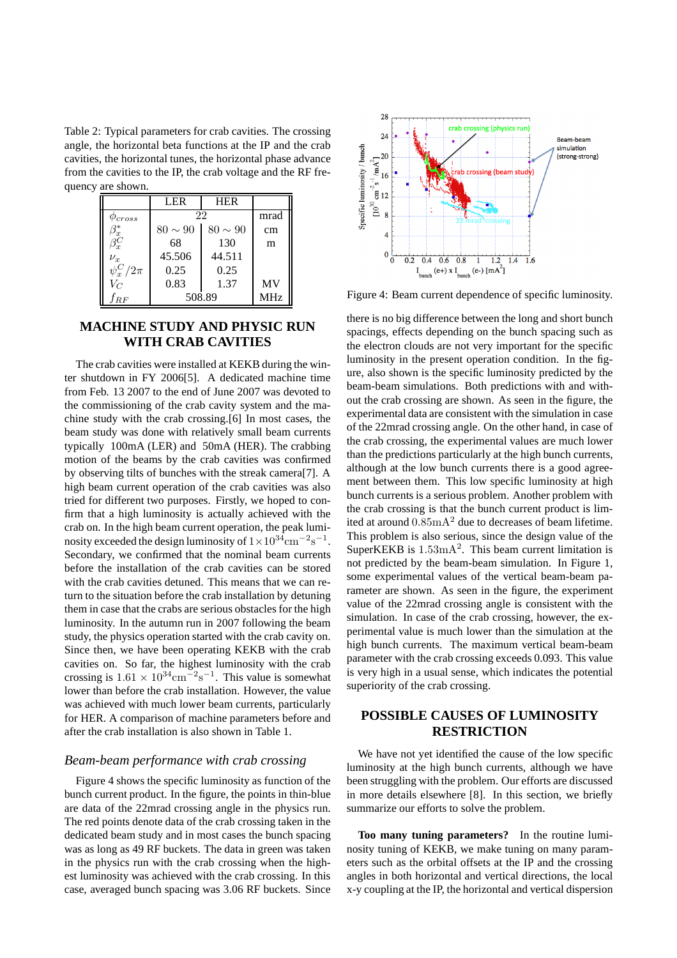Table 2: Typical parameters for crab cavities. The crossing angle, the horizontal beta functions at the IP and the crab cavities, the horizontal tunes, the horizontal phase advance from the cavities to the IP, the crab voltage and the RF frequency are shown.

|                   | LER          | <b>HER</b> |           |  |  |  |  |  |
|-------------------|--------------|------------|-----------|--|--|--|--|--|
| $\varphi_{cross}$ | 22           | mrad       |           |  |  |  |  |  |
| $\beta_x^*$       | $80 \sim 90$ | $80\sim90$ | cm        |  |  |  |  |  |
| $\bar{\beta_x^C}$ | 68           | 130        | m         |  |  |  |  |  |
| $\nu_x$           | 45.506       | 44.511     |           |  |  |  |  |  |
| $\psi_x^C/2\pi$   | 0.25         | 0.25       |           |  |  |  |  |  |
| $V_C$             | 0.83         | 1.37       | <b>MV</b> |  |  |  |  |  |
| frf               | 508.89       | MHz        |           |  |  |  |  |  |

# **MACHINE STUDY AND PHYSIC RUN WITH CRAB CAVITIES**

The crab cavities were installed at KEKB during the winter shutdown in FY 2006[5]. A dedicated machine time from Feb. 13 2007 to the end of June 2007 was devoted to the commissioning of the crab cavity system and the machine study with the crab crossing.[6] In most cases, the beam study was done with relatively small beam currents typically 100mA (LER) and 50mA (HER). The crabbing motion of the beams by the crab cavities was confirmed by observing tilts of bunches with the streak camera[7]. A high beam current operation of the crab cavities was also tried for different two purposes. Firstly, we hoped to confirm that a high luminosity is actually achieved with the crab on. In the high beam current operation, the peak luminosity exceeded the design luminosity of  $1 \times 10^{34}$ cm<sup>-2</sup>s<sup>-1</sup>. Secondary, we confirmed that the nominal beam currents before the installation of the crab cavities can be stored with the crab cavities detuned. This means that we can return to the situation before the crab installation by detuning them in case that the crabs are serious obstacles for the high luminosity. In the autumn run in 2007 following the beam study, the physics operation started with the crab cavity on. Since then, we have been operating KEKB with the crab cavities on. So far, the highest luminosity with the crab crossing is  $1.61 \times 10^{34} \text{cm}^{-2} \text{s}^{-1}$ . This value is somewhat lower than before the crab installation. However, the value was achieved with much lower beam currents, particularly for HER. A comparison of machine parameters before and after the crab installation is also shown in Table 1.

### *Beam-beam performance with crab crossing*

Figure 4 shows the specific luminosity as function of the bunch current product. In the figure, the points in thin-blue are data of the 22mrad crossing angle in the physics run. The red points denote data of the crab crossing taken in the dedicated beam study and in most cases the bunch spacing was as long as 49 RF buckets. The data in green was taken in the physics run with the crab crossing when the highest luminosity was achieved with the crab crossing. In this case, averaged bunch spacing was 3.06 RF buckets. Since



Figure 4: Beam current dependence of specific luminosity.

there is no big difference between the long and short bunch spacings, effects depending on the bunch spacing such as the electron clouds are not very important for the specific luminosity in the present operation condition. In the figure, also shown is the specific luminosity predicted by the beam-beam simulations. Both predictions with and without the crab crossing are shown. As seen in the figure, the experimental data are consistent with the simulation in case of the 22mrad crossing angle. On the other hand, in case of the crab crossing, the experimental values are much lower than the predictions particularly at the high bunch currents, although at the low bunch currents there is a good agreement between them. This low specific luminosity at high bunch currents is a serious problem. Another problem with the crab crossing is that the bunch current product is limited at around  $0.85 \text{mA}^2$  due to decreases of beam lifetime. This problem is also serious, since the design value of the SuperKEKB is  $1.53 \text{mA}^2$ . This beam current limitation is not predicted by the beam-beam simulation. In Figure 1, some experimental values of the vertical beam-beam parameter are shown. As seen in the figure, the experiment value of the 22mrad crossing angle is consistent with the simulation. In case of the crab crossing, however, the experimental value is much lower than the simulation at the high bunch currents. The maximum vertical beam-beam parameter with the crab crossing exceeds 0.093. This value is very high in a usual sense, which indicates the potential superiority of the crab crossing.

# **POSSIBLE CAUSES OF LUMINOSITY RESTRICTION**

We have not yet identified the cause of the low specific luminosity at the high bunch currents, although we have been struggling with the problem. Our efforts are discussed in more details elsewhere [8]. In this section, we briefly summarize our efforts to solve the problem.

**Too many tuning parameters?** In the routine luminosity tuning of KEKB, we make tuning on many parameters such as the orbital offsets at the IP and the crossing angles in both horizontal and vertical directions, the local x-y coupling at the IP, the horizontal and vertical dispersion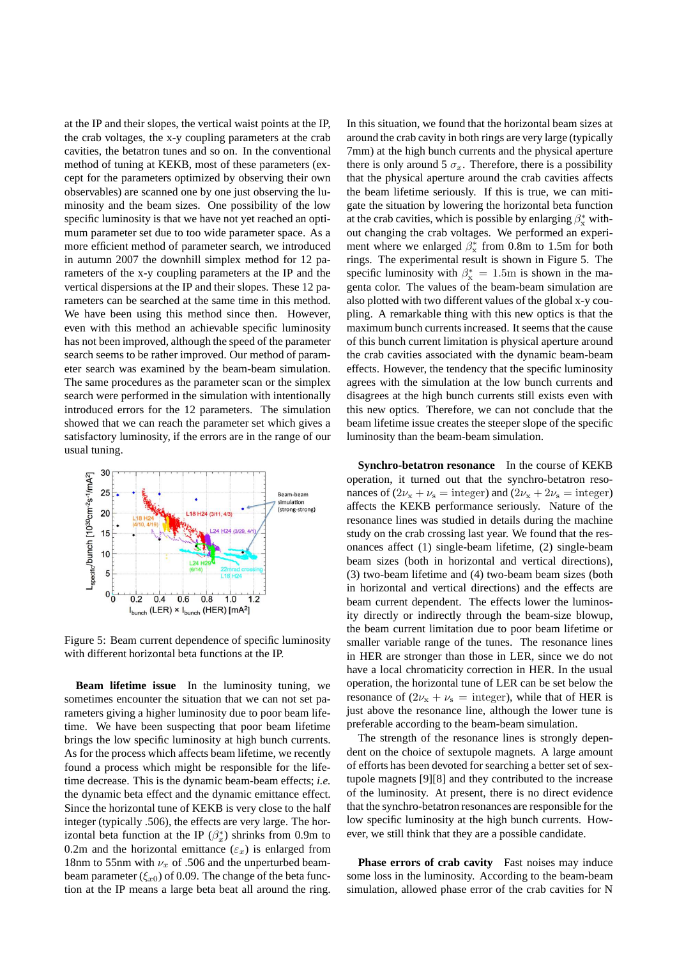at the IP and their slopes, the vertical waist points at the IP, the crab voltages, the x-y coupling parameters at the crab cavities, the betatron tunes and so on. In the conventional method of tuning at KEKB, most of these parameters (except for the parameters optimized by observing their own observables) are scanned one by one just observing the luminosity and the beam sizes. One possibility of the low specific luminosity is that we have not yet reached an optimum parameter set due to too wide parameter space. As a more efficient method of parameter search, we introduced in autumn 2007 the downhill simplex method for 12 parameters of the x-y coupling parameters at the IP and the vertical dispersions at the IP and their slopes. These 12 parameters can be searched at the same time in this method. We have been using this method since then. However, even with this method an achievable specific luminosity has not been improved, although the speed of the parameter search seems to be rather improved. Our method of parameter search was examined by the beam-beam simulation. The same procedures as the parameter scan or the simplex search were performed in the simulation with intentionally introduced errors for the 12 parameters. The simulation showed that we can reach the parameter set which gives a satisfactory luminosity, if the errors are in the range of our usual tuning.



Figure 5: Beam current dependence of specific luminosity with different horizontal beta functions at the IP.

**Beam lifetime issue** In the luminosity tuning, we sometimes encounter the situation that we can not set parameters giving a higher luminosity due to poor beam lifetime. We have been suspecting that poor beam lifetime brings the low specific luminosity at high bunch currents. As for the process which affects beam lifetime, we recently found a process which might be responsible for the lifetime decrease. This is the dynamic beam-beam effects; *i.e.* the dynamic beta effect and the dynamic emittance effect. Since the horizontal tune of KEKB is very close to the half integer (typically .506), the effects are very large. The horizontal beta function at the IP  $(\beta_x^*)$  shrinks from 0.9m to 0.2m and the horizontal emittance  $(\varepsilon_x)$  is enlarged from 18nm to 55nm with  $\nu_x$  of .506 and the unperturbed beambeam parameter ( $\xi_{x0}$ ) of 0.09. The change of the beta function at the IP means a large beta beat all around the ring.

In this situation, we found that the horizontal beam sizes at around the crab cavity in both rings are very large (typically 7mm) at the high bunch currents and the physical aperture there is only around 5  $\sigma_x$ . Therefore, there is a possibility that the physical aperture around the crab cavities affects the beam lifetime seriously. If this is true, we can mitigate the situation by lowering the horizontal beta function at the crab cavities, which is possible by enlarging  $\beta_x^*$  without changing the crab voltages. We performed an experiment where we enlarged  $\beta_{\rm x}^*$  from 0.8m to 1.5m for both rings. The experimental result is shown in Figure 5. The specific luminosity with  $\beta_{\rm x}^* = 1.5$ m is shown in the magenta color. The values of the beam-beam simulation are also plotted with two different values of the global x-y coupling. A remarkable thing with this new optics is that the maximum bunch currents increased. It seems that the cause of this bunch current limitation is physical aperture around the crab cavities associated with the dynamic beam-beam effects. However, the tendency that the specific luminosity agrees with the simulation at the low bunch currents and disagrees at the high bunch currents still exists even with this new optics. Therefore, we can not conclude that the beam lifetime issue creates the steeper slope of the specific luminosity than the beam-beam simulation.

**Synchro-betatron resonance** In the course of KEKB operation, it turned out that the synchro-betatron resonances of  $(2\nu_x + \nu_s = \text{integer})$  and  $(2\nu_x + 2\nu_s = \text{integer})$ affects the KEKB performance seriously. Nature of the resonance lines was studied in details during the machine study on the crab crossing last year. We found that the resonances affect (1) single-beam lifetime, (2) single-beam beam sizes (both in horizontal and vertical directions), (3) two-beam lifetime and (4) two-beam beam sizes (both in horizontal and vertical directions) and the effects are beam current dependent. The effects lower the luminosity directly or indirectly through the beam-size blowup, the beam current limitation due to poor beam lifetime or smaller variable range of the tunes. The resonance lines in HER are stronger than those in LER, since we do not have a local chromaticity correction in HER. In the usual operation, the horizontal tune of LER can be set below the resonance of  $(2\nu_{x} + \nu_{s} =$  integer), while that of HER is just above the resonance line, although the lower tune is preferable according to the beam-beam simulation.

The strength of the resonance lines is strongly dependent on the choice of sextupole magnets. A large amount of efforts has been devoted for searching a better set of sextupole magnets [9][8] and they contributed to the increase of the luminosity. At present, there is no direct evidence that the synchro-betatron resonances are responsible for the low specific luminosity at the high bunch currents. However, we still think that they are a possible candidate.

**Phase errors of crab cavity** Fast noises may induce some loss in the luminosity. According to the beam-beam simulation, allowed phase error of the crab cavities for N